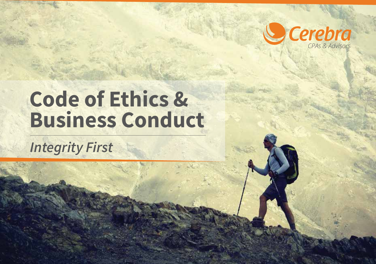

*Cerebra CPAs & Advisors Code of Ethics & Business Conduct*

# **Code of Ethics & Business Conduct**

### *Integrity First*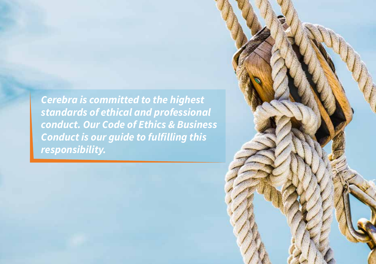*Cerebra is committed to the highest standards of ethical and professional conduct. Our Code of Ethics & Business Conduct is our guide to fulfilling this responsibility.*

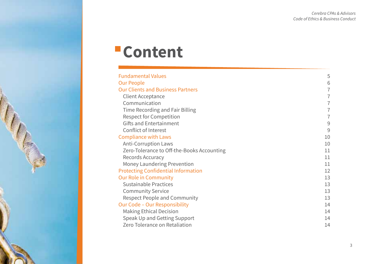### **-Content**

| <b>Fundamental Values</b>                  | 5              |
|--------------------------------------------|----------------|
| Our People                                 | 6              |
| <b>Our Clients and Business Partners</b>   | $\overline{7}$ |
| Client Acceptance                          | $\overline{1}$ |
| Communication                              | 7              |
| Time Recording and Fair Billing            | $\overline{1}$ |
| <b>Respect for Competition</b>             | 7              |
| Gifts and Entertainment                    | 9              |
| Conflict of Interest                       | 9              |
| <b>Compliance with Laws</b>                | 10             |
| <b>Anti-Corruption Laws</b>                | 10             |
| Zero-Tolerance to Off-the-Books Accounting | 11             |
| Records Accuracy                           | 11             |
| Money Laundering Prevention                | 11             |
| <b>Protecting Confidential Information</b> | 12             |
| <b>Our Role in Community</b>               | 13             |
| Sustainable Practices                      | 13             |
| <b>Community Service</b>                   | 13             |
| Respect People and Community               | 13             |
| Our Code - Our Responsibility              | 14             |
| <b>Making Ethical Decision</b>             | 14             |
| Speak Up and Getting Support               | 14             |
| Zero Tolerance on Retaliation              | 14             |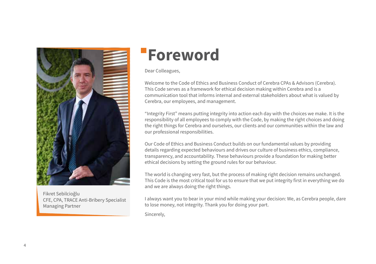

Fikret Sebilcioğlu CFE, CPA, TRACE Anti-Bribery Specialist Managing Partner

### **Foreword**

Dear Colleagues,

Welcome to the Code of Ethics and Business Conduct of Cerebra CPAs & Advisors (Cerebra). This Code serves as a framework for ethical decision making within Cerebra and is a communication tool that informs internal and external stakeholders about what is valued by Cerebra, our employees, and management.

"Integrity First" means putting integrity into action each day with the choices we make. It is the responsibility of all employees to comply with the Code, by making the right choices and doing the right things for Cerebra and ourselves, our clients and our communities within the law and our professional responsibilities.

Our Code of Ethics and Business Conduct builds on our fundamental values by providing details regarding expected behaviours and drives our culture of business ethics, compliance, transparency, and accountability. These behaviours provide a foundation for making better ethical decisions by setting the ground rules for our behaviour.

The world is changing very fast, but the process of making right decision remains unchanged. This Code is the most critical tool for us to ensure that we put integrity first in everything we do and we are always doing the right things.

I always want you to bear in your mind while making your decision: We, as Cerebra people, dare to lose money, not integrity. Thank you for doing your part.

Sincerely,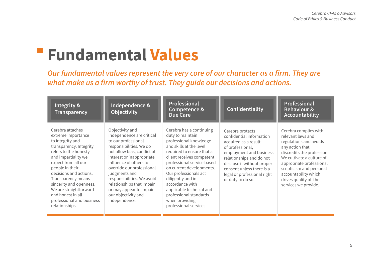### **Fundamental Values**

*Our fundamental values represent the very core of our character as a firm. They are what make us a firm worthy of trust. They guide our decisions and actions.*

| Integrity &<br>Transparency                                                                                                                                                                                                                                                                                                                              | Independence &<br>Objectivity                                                                                                                                                                                                                                                                                                                                    | Professional<br>Competence &<br>Due Care                                                                                                                                                                                                                                                                                                                                                 | Confidentiality                                                                                                                                                                                                                                                | Professional<br><b>Behaviour &amp;</b><br>Accountability                                                                                                                                                                                                                           |
|----------------------------------------------------------------------------------------------------------------------------------------------------------------------------------------------------------------------------------------------------------------------------------------------------------------------------------------------------------|------------------------------------------------------------------------------------------------------------------------------------------------------------------------------------------------------------------------------------------------------------------------------------------------------------------------------------------------------------------|------------------------------------------------------------------------------------------------------------------------------------------------------------------------------------------------------------------------------------------------------------------------------------------------------------------------------------------------------------------------------------------|----------------------------------------------------------------------------------------------------------------------------------------------------------------------------------------------------------------------------------------------------------------|------------------------------------------------------------------------------------------------------------------------------------------------------------------------------------------------------------------------------------------------------------------------------------|
| Cerebra attaches<br>extreme importance<br>to integrity and<br>transparency. Integrity<br>refers to the honesty<br>and impartiality we<br>expect from all our<br>people in their<br>decisions and actions.<br>Transparency means<br>sincerity and openness.<br>We are straightforward<br>and honest in all<br>professional and business<br>relationships. | Objectivity and<br>independence are critical<br>to our professional<br>responsibilities. We do<br>not allow bias, conflict of<br>interest or inappropriate<br>influence of others to<br>override our professional<br>judgments and<br>responsibilities. We avoid<br>relationships that impair<br>or may appear to impair<br>our objectivity and<br>independence. | Cerebra has a continuing<br>duty to maintain<br>professional knowledge<br>and skills at the level<br>required to ensure that a<br>client receives competent<br>professional service based<br>on current developments.<br>Our professionals act<br>diligently and in<br>accordance with<br>applicable technical and<br>professional standards<br>when providing<br>professional services. | Cerebra protects<br>confidential information<br>acquired as a result<br>of professional,<br>employment and business<br>relationships and do not<br>disclose it without proper<br>consent unless there is a<br>legal or professional right<br>or duty to do so. | Cerebra complies with<br>relevant laws and<br>regulations and avoids<br>any action that<br>discredits the profession.<br>We cultivate a culture of<br>appropriate professional<br>scepticism and personal<br>accountability which<br>drives quality of the<br>services we provide. |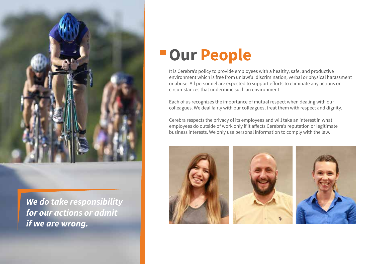

*We do take responsibility for our actions or admit if we are wrong.*

### **Our People**

It is Cerebra's policy to provide employees with a healthy, safe, and productive environment which is free from unlawful discrimination, verbal or physical harassment or abuse. All personnel are expected to support efforts to eliminate any actions or circumstances that undermine such an environment.

Each of us recognizes the importance of mutual respect when dealing with our colleagues. We deal fairly with our colleagues, treat them with respect and dignity.

Cerebra respects the privacy of its employees and will take an interest in what employees do outside of work only if it affects Cerebra's reputation or legitimate business interests. We only use personal information to comply with the law.





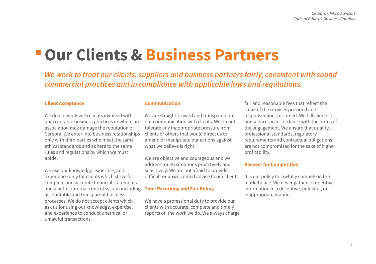### **Our Clients & Business Partners**

*We work to treat our clients, suppliers and business partners fairly, consistent with sound commercial practices and in compliance with applicable laws and regulations.*

#### **Client Acceptance**

We do not work with clients involved with unacceptable business practices or where an association may damage the reputation of Cerebra. We enter into business relationships only with third parties who meet the same ethical standards and adhere to the same rules and regulations by which we must abide.

We use our knowledge, expertise, and experience only for clients which strive for complete and accurate financial statements and a better internal control system including accountable and transparent business processes. We do not accept clients which ask us for using our knowledge, expertise, and experience to conduct unethical or unlawful transactions.

#### **Communication**

We are straightforward and transparent in our communication with clients. We do not tolerate any inappropriate pressure from clients or others that would direct us to amend or manipulate our actions against what we believe is right.

We are objective and courageous and we address tough situations proactively and sensitively. We are not afraid to provide difficult or unwelcomed advice to our clients.

#### **Time Recording and Fair Billing**

We have a professional duty to provide our clients with accurate, complete and timely reports on the work we do. We always charge fair and reasonable fees that reflect the value of the services provided and responsibilities assumed. We bill clients for our services in accordance with the terms of the engagement. We ensure that quality, professional standards, regulatory requirements and contractual obligations are not compromised for the sake of higher profitability.

#### **Respect for Competition**

It is our policy to lawfully compete in the marketplace. We never gather competitive information in a deceptive, unlawful, or inappropriate manner.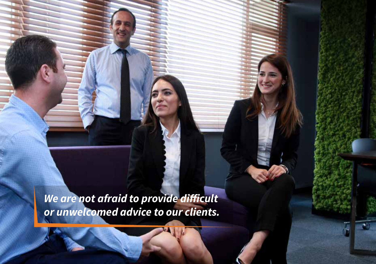*We are not afraid to provide difficult or unwelcomed advice to our clients.*

虾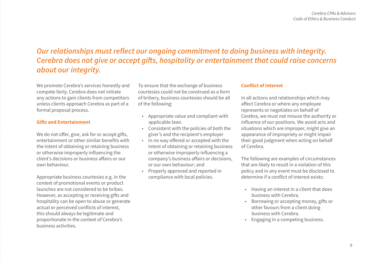### *Our relationships must reflect our ongoing commitment to doing business with integrity. Cerebra does not give or accept gifts, hospitality or entertainment that could raise concerns about our integrity.*

We promote Cerebra's services honestly and compete fairly. Cerebra does not initiate any actions to gain clients from competitors unless clients approach Cerebra as part of a formal proposal process.

#### **Gifts and Entertainment**

We do not offer, give, ask for or accept gifts, entertainment or other similar benefits with the intent of obtaining or retaining business or otherwise improperly influencing the client's decisions or business affairs or our own behaviour.

Appropriate business courtesies e.g. in the context of promotional events or product launches are not considered to be bribes. However, as accepting or receiving gifts and hospitality can be open to abuse or generate actual or perceived conflicts of interest, this should always be legitimate and proportionate in the context of Cerebra's business activities.

To ensure that the exchange of business courtesies could not be construed as a form of bribery, business courtesies should be all of the following:

- Appropriate value and compliant with applicable laws
- Consistent with the policies of both the giver's and the recipient's employer
- In no way offered or accepted with the intent of obtaining or retaining business or otherwise improperly influencing a company's business affairs or decisions, or our own behaviour; and
- Properly approved and reported in compliance with local policies.

#### **Conflict of Interest**

In all actions and relationships which may affect Cerebra or where any employee represents or negotiates on behalf of Cerebra, we must not misuse the authority or influence of our positions. We avoid acts and situations which are improper, might give an appearance of impropriety or might impair their good judgment when acting on behalf of Cerebra.

The following are examples of circumstances that are likely to result in a violation of this policy and in any event must be disclosed to determine if a conflict of interest exists:

- Having an interest in a client that does business with Cerebra.
- Borrowing or accepting money, gifts or other favours from a client doing business with Cerebra.
- Engaging in a competing business.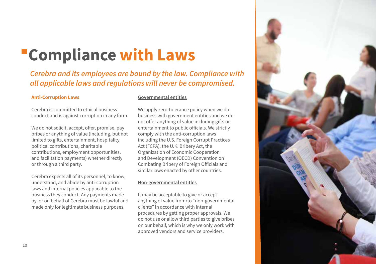## **Compliance with Laws**

### *Cerebra and its employees are bound by the law. Compliance with all applicable laws and regulations will never be compromised.*

#### **Anti-Corruption Laws**

Cerebra is committed to ethical business conduct and is against corruption in any form.

We do not solicit, accept, offer, promise, pay bribes or anything of value (including, but not limited to gifts, entertainment, hospitality, political contributions, charitable contributions, employment opportunities, and facilitation payments) whether directly or through a third party.

Cerebra expects all of its personnel, to know, understand, and abide by anti-corruption laws and internal policies applicable to the business they conduct. Any payments made by, or on behalf of Cerebra must be lawful and made only for legitimate business purposes.

#### **Governmental entities**

We apply zero-tolerance policy when we do business with government entities and we do not offer anything of value including gifts or entertainment to public officials. We strictly comply with the anti-corruption laws including the U.S. Foreign Corrupt Practices Act (FCPA), the U.K. Bribery Act, the Organization of Economic Cooperation and Development (OECD) Convention on Combating Bribery of Foreign Officials and similar laws enacted by other countries.

#### **Non-governmental entitles**

It may be acceptable to give or accept anything of value from/to "non-governmental clients" in accordance with internal procedures by getting proper approvals. We do not use or allow third parties to give bribes on our behalf, which is why we only work with approved vendors and service providers.

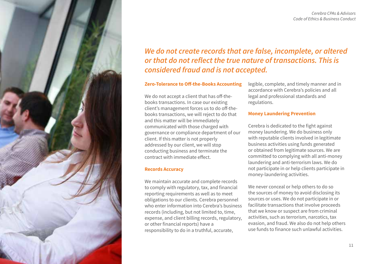



### *We do not create records that are false, incomplete, or altered or that do not reflect the true nature of transactions. This is considered fraud and is not accepted.*

#### **Zero-Tolerance to Off-the-Books Accounting**

We do not accept a client that has off-thebooks transactions. In case our existing client's management forces us to do off-thebooks transactions, we will reject to do that and this matter will be immediately communicated with those charged with governance or compliance department of our client. If this matter is not properly addressed by our client, we will stop conducting business and terminate the contract with immediate effect.

#### **Records Accuracy**

We maintain accurate and complete records to comply with regulatory, tax, and financial reporting requirements as well as to meet obligations to our clients. Cerebra personnel who enter information into Cerebra's business records (including, but not limited to, time, expense, and client billing records, regulatory, or other financial reports) have a responsibility to do in a truthful, accurate,

legible, complete, and timely manner and in accordance with Cerebra's policies and all legal and professional standards and regulations.

#### **Money Laundering Prevention**

Cerebra is dedicated to the fight against money laundering. We do business only with reputable clients involved in legitimate business activities using funds generated or obtained from legitimate sources. We are committed to complying with all anti-money laundering and anti-terrorism laws. We do not participate in or help clients participate in money-laundering activities.

We never conceal or help others to do so the sources of money to avoid disclosing its sources or uses. We do not participate in or facilitate transactions that involve proceeds that we know or suspect are from criminal activities, such as terrorism, narcotics, tax evasion, and fraud. We also do not help others use funds to finance such unlawful activities.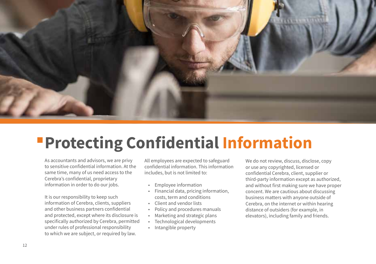

## **Protecting Confidential Information**

As accountants and advisors, we are privy to sensitive confidential information. At the same time, many of us need access to the Cerebra's confidential, proprietary information in order to do our jobs.

It is our responsibility to keep such information of Cerebra, clients, suppliers and other business partners confidential and protected, except where its disclosure is specifically authorized by Cerebra, permitted under rules of professional responsibility to which we are subject, or required by law.

All employees are expected to safeguard confidential information. This information includes, but is not limited to:

- Employee information
- Financial data, pricing information, costs, term and conditions
- Client and vendor lists
- Policy and procedures manuals
- Marketing and strategic plans
- Technological developments
- Intangible property

We do not review, discuss, disclose, copy or use any copyrighted, licensed or confidential Cerebra, client, supplier or third-party information except as authorized, and without first making sure we have proper concent. We are cautious about discussing business matters with anyone outside of Cerebra, on the internet or within hearing distance of outsiders (for example, in elevators), including family and friends.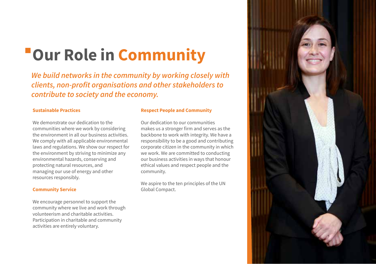## **Our Role in Community**

*We build networks in the community by working closely with clients, non-profit organisations and other stakeholders to contribute to society and the economy.*

#### **Sustainable Practices**

We demonstrate our dedication to the communities where we work by considering the environment in all our business activities. We comply with all applicable environmental laws and regulations. We show our respect for the environment by striving to minimize any environmental hazards, conserving and protecting natural resources, and managing our use of energy and other resources responsibly.

#### **Community Service**

We encourage personnel to support the community where we live and work through volunteerism and charitable activities. Participation in charitable and community activities are entirely voluntary.

#### **Respect People and Community**

Our dedication to our communities makes us a stronger firm and serves as the backbone to work with integrity. We have a responsibility to be a good and contributing corporate citizen in the community in which we work. We are committed to conducting our business activities in ways that honour ethical values and respect people and the community.

We aspire to the ten principles of the UN Global Compact.

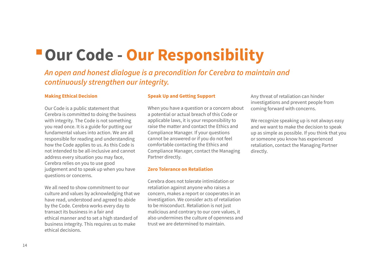### **Our Code - Our Responsibility**

*An open and honest dialogue is a precondition for Cerebra to maintain and continuously strengthen our integrity.*

#### **Making Ethical Decision**

Our Code is a public statement that Cerebra is committed to doing the business with integrity. The Code is not something you read once. It is a guide for putting our fundamental values into action. We are all responsible for reading and understanding how the Code applies to us. As this Code is not intended to be all-inclusive and cannot address every situation you may face, Cerebra relies on you to use good judgement and to speak up when you have questions or concerns.

We all need to show commitment to our culture and values by acknowledging that we have read, understood and agreed to abide by the Code. Cerebra works every day to transact its business in a fair and ethical manner and to set a high standard of business integrity. This requires us to make ethical decisions.

#### **Speak Up and Getting Support**

When you have a question or a concern about a potential or actual breach of this Code or applicable laws, it is your responsibility to raise the matter and contact the Ethics and Compliance Manager. If your questions cannot be answered or if you do not feel comfortable contacting the Ethics and Compliance Manager, contact the Managing Partner directly.

#### **Zero Tolerance on Retaliation**

Cerebra does not tolerate intimidation or retaliation against anyone who raises a concern, makes a report or cooperates in an investigation. We consider acts of retaliation to be misconduct. Retaliation is not just malicious and contrary to our core values, it also undermines the culture of openness and trust we are determined to maintain.

Any threat of retaliation can hinder investigations and prevent people from coming forward with concerns.

We recognize speaking up is not always easy and we want to make the decision to speak up as simple as possible. If you think that you or someone you know has experienced retaliation, contact the Managing Partner directly.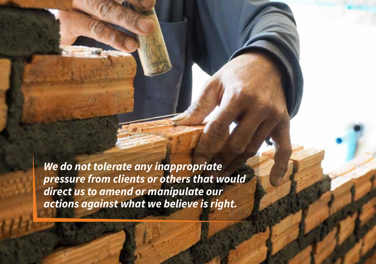*We do not tolerate any inappropriate pressure from clients or others that would direct us to amend or manipulate our actions against what we believe is right.* 

**Code of Ethics & Business Conduction**